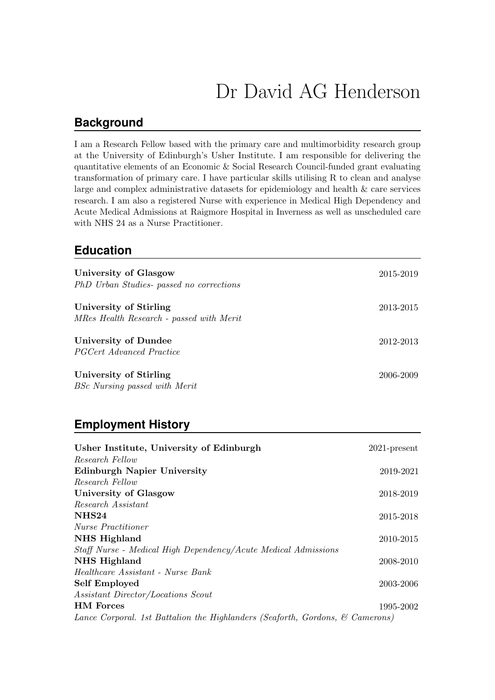# Dr David AG Henderson

#### **Background**

I am a Research Fellow based with the primary care and multimorbidity research group at the University of Edinburgh's Usher Institute. I am responsible for delivering the quantitative elements of an Economic & Social Research Council-funded grant evaluating transformation of primary care. I have particular skills utilising R to clean and analyse large and complex administrative datasets for epidemiology and health & care services research. I am also a registered Nurse with experience in Medical High Dependency and Acute Medical Admissions at Raigmore Hospital in Inverness as well as unscheduled care with NHS 24 as a Nurse Practitioner.

#### **Education**

| University of Glasgow<br>PhD Urban Studies- passed no corrections  | 2015-2019 |
|--------------------------------------------------------------------|-----------|
| University of Stirling<br>MRes Health Research - passed with Merit | 2013-2015 |
| University of Dundee<br><i>PGCert Advanced Practice</i>            | 2012-2013 |
| University of Stirling<br>BSc Nursing passed with Merit            | 2006-2009 |

## **Employment History**

| Usher Institute, University of Edinburgh                                      | $2021$ -present |
|-------------------------------------------------------------------------------|-----------------|
| Research Fellow                                                               |                 |
| <b>Edinburgh Napier University</b>                                            | 2019-2021       |
| Research Fellow                                                               |                 |
| University of Glasgow                                                         | 2018-2019       |
| Research Assistant                                                            |                 |
| NHS <sub>24</sub>                                                             | 2015-2018       |
| <i>Nurse Practitioner</i>                                                     |                 |
| NHS Highland                                                                  | 2010-2015       |
| Staff Nurse - Medical High Dependency/Acute Medical Admissions                |                 |
| NHS Highland                                                                  | 2008-2010       |
| Healthcare Assistant - Nurse Bank                                             |                 |
| <b>Self Employed</b>                                                          | 2003-2006       |
| Assistant Director/Locations Scout                                            |                 |
| <b>HM</b> Forces                                                              | 1995-2002       |
| Lance Corporal. 1st Battalion the Highlanders (Seaforth, Gordons, & Camerons) |                 |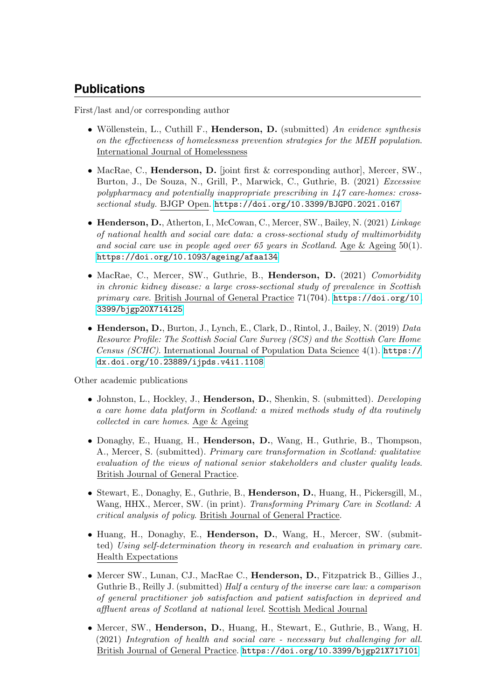# **Publications**

First/last and/or corresponding author

- Wöllenstein, L., Cuthill F., Henderson, D. (submitted) An evidence synthesis on the effectiveness of homelessness prevention strategies for the MEH population. International Journal of Homelessness
- MacRae, C., **Henderson, D.** [joint first & corresponding author], Mercer, SW., Burton, J., De Souza, N., Grill, P., Marwick, C., Guthrie, B. (2021) Excessive polypharmacy and potentially inappropriate prescribing in 147 care-homes: crosssectional study. BJGP Open. <https://doi.org/10.3399/BJGPO.2021.0167>
- Henderson, D., Atherton, I., McCowan, C., Mercer, SW., Bailey, N. (2021) Linkage of national health and social care data: a cross-sectional study of multimorbidity and social care use in people aged over 65 years in Scotland. Age & Ageing 50(1). <https://doi.org/10.1093/ageing/afaa134>
- MacRae, C., Mercer, SW., Guthrie, B., Henderson, D. (2021) Comorbidity in chronic kidney disease: a large cross-sectional study of prevalence in Scottish primary care. British Journal of General Practice 71(704). [https://doi.org/10.](https://doi.org/10.3399/bjgp20X714125) [3399/bjgp20X714125](https://doi.org/10.3399/bjgp20X714125)
- Henderson, D., Burton, J., Lynch, E., Clark, D., Rintol, J., Bailey, N. (2019) Data Resource Profile: The Scottish Social Care Survey (SCS) and the Scottish Care Home Census (SCHC). International Journal of Population Data Science 4(1). [https://](https://dx.doi.org/10.23889/ijpds.v4i1.1108) [dx.doi.org/10.23889/ijpds.v4i1.1108](https://dx.doi.org/10.23889/ijpds.v4i1.1108)

Other academic publications

- Johnston, L., Hockley, J., Henderson, D., Shenkin, S. (submitted). Developing a care home data platform in Scotland: a mixed methods study of dta routinely collected in care homes. Age & Ageing
- Donaghy, E., Huang, H., Henderson, D., Wang, H., Guthrie, B., Thompson, A., Mercer, S. (submitted). Primary care transformation in Scotland: qualitative evaluation of the views of national senior stakeholders and cluster quality leads. British Journal of General Practice.
- Stewart, E., Donaghy, E., Guthrie, B., Henderson, D., Huang, H., Pickersgill, M., Wang, HHX., Mercer, SW. (in print). Transforming Primary Care in Scotland: A critical analysis of policy. British Journal of General Practice.
- Huang, H., Donaghy, E., Henderson, D., Wang, H., Mercer, SW. (submitted) Using self-determination theory in research and evaluation in primary care. Health Expectations
- Mercer SW., Lunan, CJ., MacRae C., Henderson, D., Fitzpatrick B., Gillies J., Guthrie B., Reilly J. (submitted) Half a century of the inverse care law: a comparison of general practitioner job satisfaction and patient satisfaction in deprived and affluent areas of Scotland at national level. Scottish Medical Journal
- Mercer, SW., Henderson, D., Huang, H., Stewart, E., Guthrie, B., Wang, H. (2021) Integration of health and social care - necessary but challenging for all. British Journal of General Practice. <https://doi.org/10.3399/bjgp21X717101>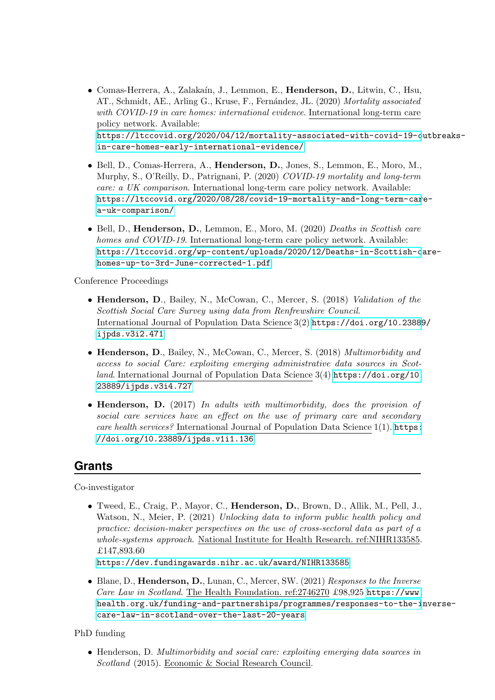- Comas-Herrera, A., Zalaka´ın, J., Lemmon, E., Henderson, D., Litwin, C., Hsu, AT., Schmidt, AE., Arling G., Kruse, F., Fernández, JL. (2020) Mortality associated with COVID-19 in care homes: international evidence. International long-term care policy network. Available: [https://ltccovid.org/2020/04/12/mortality-associated-with-covid-19-o](https://ltccovid.org/2020/04/12/mortality-associated-with-covid-19-outbreaks-in-care-homes-early-international-evidence/)utbreaks[in-care-homes-early-international-evidence/](https://ltccovid.org/2020/04/12/mortality-associated-with-covid-19-outbreaks-in-care-homes-early-international-evidence/)
- Bell, D., Comas-Herrera, A., Henderson, D., Jones, S., Lemmon, E., Moro, M., Murphy, S., O'Reilly, D., Patrignani, P. (2020) COVID-19 mortality and long-term care: a UK comparison. International long-term care policy network. Available: [https://ltccovid.org/2020/08/28/covid-19-mortality-and-long-term-car](https://ltccovid.org/2020/08/28/covid-19-mortality-and-long-term-care-a-uk-comparison/)e[a-uk-comparison/](https://ltccovid.org/2020/08/28/covid-19-mortality-and-long-term-care-a-uk-comparison/)
- Bell, D., Henderson, D., Lemmon, E., Moro, M. (2020) Deaths in Scottish care homes and COVID-19. International long-term care policy network. Available: [https://ltccovid.org/wp-content/uploads/2020/12/Deaths-in-Scottish-c](https://ltccovid.org/wp-content/uploads/2020/12/Deaths-in-Scottish-care-homes-up-to-3rd-June-corrected-1.pdf)are[homes-up-to-3rd-June-corrected-1.pdf](https://ltccovid.org/wp-content/uploads/2020/12/Deaths-in-Scottish-care-homes-up-to-3rd-June-corrected-1.pdf)

Conference Proceedings

- Henderson, D., Bailey, N., McCowan, C., Mercer, S. (2018) Validation of the Scottish Social Care Survey using data from Renfrewshire Council. International Journal of Population Data Science 3(2) [https://doi.org/10.23889](https://doi.org/10.23889/ijpds.v3i2.471)/ [ijpds.v3i2.471](https://doi.org/10.23889/ijpds.v3i2.471)
- Henderson, D., Bailey, N., McCowan, C., Mercer, S. (2018) Multimorbidity and access to social Care: exploiting emerging administrative data sources in Scotland. International Journal of Population Data Science 3(4) [https://doi.org/10.](https://doi.org/10.23889/ijpds.v3i4.727) [23889/ijpds.v3i4.727](https://doi.org/10.23889/ijpds.v3i4.727)
- Henderson, D. (2017) In adults with multimorbidity, does the provision of social care services have an effect on the use of primary care and secondary care health services? International Journal of Population Data Science 1(1). [https:](https://doi.org/10.23889/ijpds.v1i1.136) [//doi.org/10.23889/ijpds.v1i1.136](https://doi.org/10.23889/ijpds.v1i1.136)

## **Grants**

Co-investigator

• Tweed, E., Craig, P., Mayor, C., Henderson, D., Brown, D., Allik, M., Pell, J., Watson, N., Meier, P. (2021) Unlocking data to inform public health policy and practice: decision-maker perspectives on the use of cross-sectoral data as part of a whole-systems approach. National Institute for Health Research. ref:NIHR133585. £147,893.60

<https://dev.fundingawards.nihr.ac.uk/award/NIHR133585>

• Blane, D., Henderson, D., Lunan, C., Mercer, SW. (2021) Responses to the Inverse Care Law in Scotland. The Health Foundation. ref: 2746270 £98,925 [https://www.](https://www.health.org.uk/funding-and-partnerships/programmes/responses-to-the-inverse-care-law-in-scotland-over-the-last-20-years) [health.org.uk/funding-and-partnerships/programmes/responses-to-the-i](https://www.health.org.uk/funding-and-partnerships/programmes/responses-to-the-inverse-care-law-in-scotland-over-the-last-20-years)nverse[care-law-in-scotland-over-the-last-20-years](https://www.health.org.uk/funding-and-partnerships/programmes/responses-to-the-inverse-care-law-in-scotland-over-the-last-20-years)

PhD funding

• Henderson, D. Multimorbidity and social care: exploiting emerging data sources in Scotland (2015). Economic & Social Research Council.